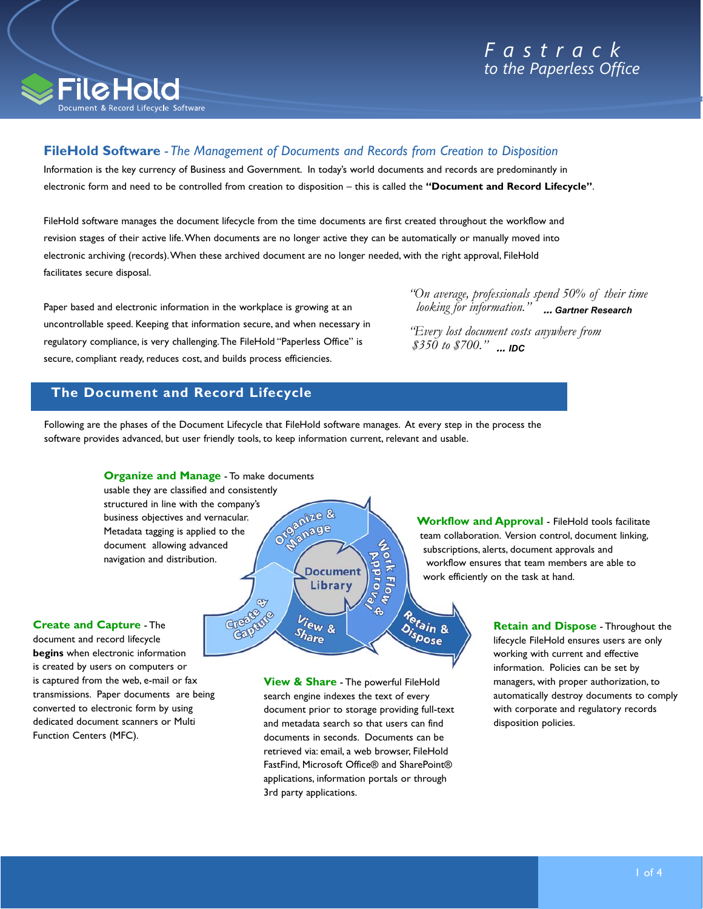



# **FileHold Software** *- The Management of Documents and Records from Creation to Disposition*

Information is the key currency of Business and Government. In today's world documents and records are predominantly in electronic form and need to be controlled from creation to disposition – this is called the **"Document and Record Lifecycle"**.

FileHold software manages the document lifecycle from the time documents are first created throughout the workflow and revision stages of their active life. When documents are no longer active they can be automatically or manually moved into electronic archiving (records). When these archived document are no longer needed, with the right approval, FileHold facilitates secure disposal.

Paper based and electronic information in the workplace is growing at an uncontrollable speed. Keeping that information secure, and when necessary in regulatory compliance, is very challenging. The FileHold "Paperless Office" is secure, compliant ready, reduces cost, and builds process efficiencies.

*"On average, professionals spend 50% of their time looking for information."* **...** *Gartner Research* 

*"Every lost document costs anywhere from \$350 to \$700."* **...** *IDC* 

# **The Document and Record Lifecycle**

Following are the phases of the Document Lifecycle that FileHold software manages. At every step in the process the software provides advanced, but user friendly tools, to keep information current, relevant and usable.



**Create and Capture** - The document and record lifecycle **begins** when electronic information is created by users on computers or is captured from the web, e-mail or fax transmissions. Paper documents are being converted to electronic form by using dedicated document scanners or Multi Function Centers (MFC).

**View & Share** - The powerful FileHold search engine indexes the text of every document prior to storage providing full-text and metadata search so that users can find documents in seconds. Documents can be retrieved via: email, a web browser, FileHold FastFind, Microsoft Office® and SharePoint® applications, information portals or through 3rd party applications.

**Workflow and Approval** - FileHold tools facilitate team collaboration. Version control, document linking, subscriptions, alerts, document approvals and workflow ensures that team members are able to work efficiently on the task at hand.

> **Retain and Dispose** - Throughout the lifecycle FileHold ensures users are only working with current and effective information. Policies can be set by managers, with proper authorization, to automatically destroy documents to comply with corporate and regulatory records disposition policies.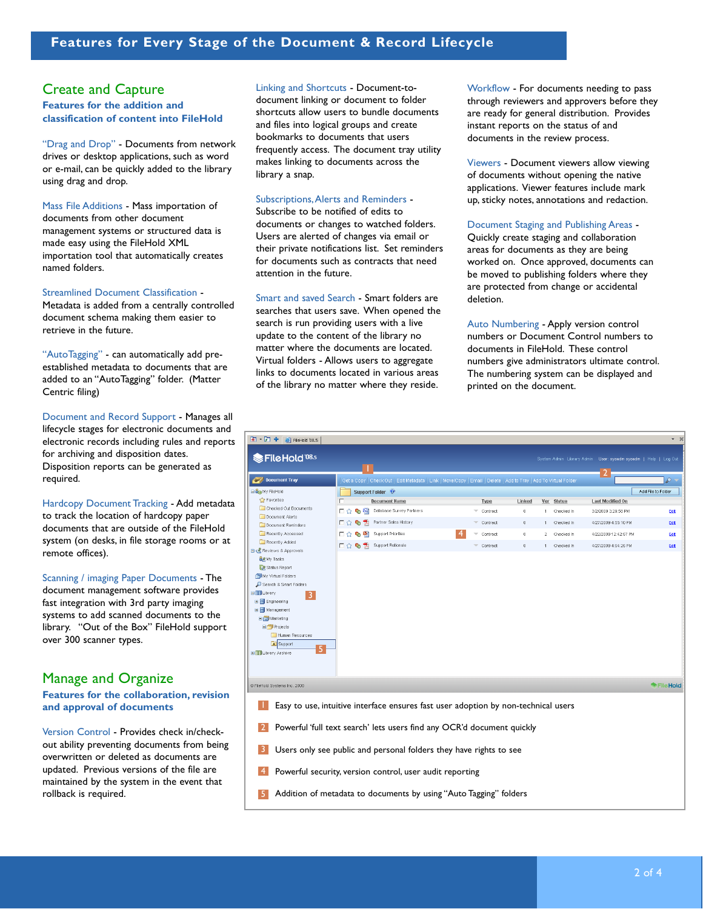# Create and Capture

## **Features for the addition and classification of content into FileHold**

"Drag and Drop" - Documents from network drives or desktop applications, such as word or e-mail, can be quickly added to the library using drag and drop.

Mass File Additions - Mass importation of documents from other document management systems or structured data is made easy using the FileHold XML importation tool that automatically creates named folders.

### Streamlined Document Classification -

Metadata is added from a centrally controlled document schema making them easier to retrieve in the future.

"AutoTagging" - can automatically add preestablished metadata to documents that are added to an "AutoTagging" folder. (Matter Centric filing)

Document and Record Support - Manages all lifecycle stages for electronic documents and electronic records including rules and reports for archiving and disposition dates. Disposition reports can be generated as required.

Hardcopy Document Tracking - Add metadata to track the location of hardcopy paper documents that are outside of the FileHold system (on desks, in file storage rooms or at remote offices).

Scanning / imaging Paper Documents - The document management software provides fast integration with 3rd party imaging systems to add scanned documents to the library. "Out of the Box" FileHold support over 300 scanner types.

# Manage and Organize

**Features for the collaboration, revision and approval of documents**

Version Control - Provides check in/checkout ability preventing documents from being overwritten or deleted as documents are updated. Previous versions of the file are maintained by the system in the event that rollback is required.

Linking and Shortcuts - Document-todocument linking or document to folder shortcuts allow users to bundle documents and files into logical groups and create bookmarks to documents that users frequently access. The document tray utility makes linking to documents across the library a snap.

### Subscriptions, Alerts and Reminders -

Subscribe to be notified of edits to documents or changes to watched folders. Users are alerted of changes via email or their private notifications list. Set reminders for documents such as contracts that need attention in the future.

Smart and saved Search - Smart folders are searches that users save. When opened the search is run providing users with a live update to the content of the library no matter where the documents are located. Virtual folders - Allows users to aggregate links to documents located in various areas of the library no matter where they reside.

Workflow - For documents needing to pass through reviewers and approvers before they are ready for general distribution. Provides instant reports on the status of and documents in the review process.

Viewers - Document viewers allow viewing of documents without opening the native applications. Viewer features include mark up, sticky notes, annotations and redaction.

### Document Staging and Publishing Areas -

Quickly create staging and collaboration areas for documents as they are being worked on. Once approved, documents can be moved to publishing folders where they are protected from change or accidental deletion.

Auto Numbering - Apply version control numbers or Document Control numbers to documents in FileHold. These control numbers give administrators ultimate control. The numbering system can be displayed and printed on the document.

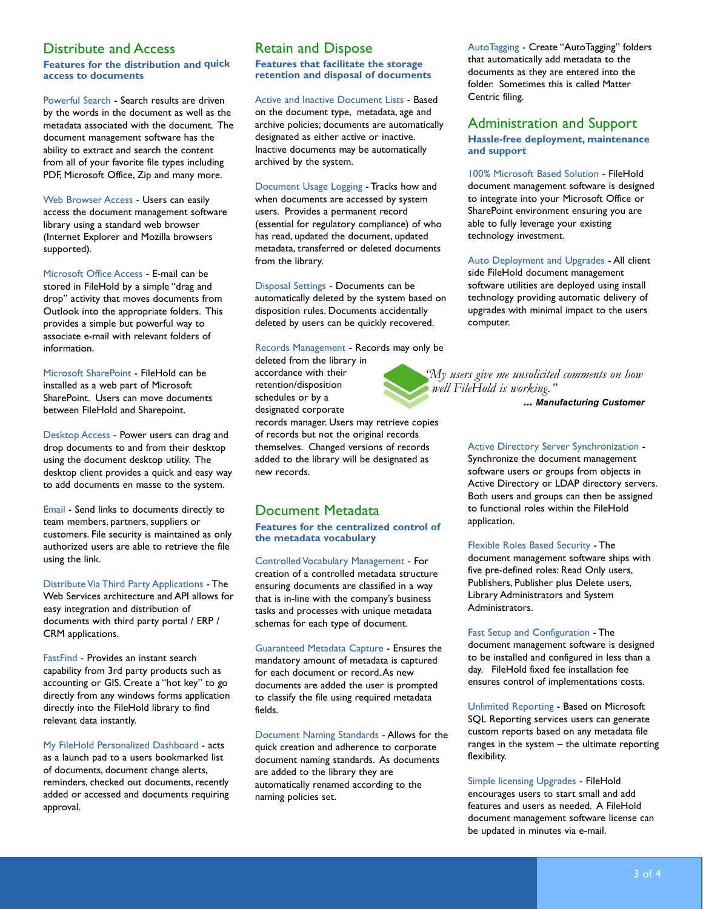# Distribute and Access

## **Features for the distribution and quick access to documents**

Powerful Search - Search results are driven by the words in the document as well as the metadata associated with the document. The document management software has the ability to extract and search the content from all of your favorite file types including PDF, Microsoft Office, Zip and many more.

Web Browser Access - Users can easily access the document management software library using a standard web browser (Internet Explorer and Mozilla browsers supported).

Microsoft Office Access - E-mail can be stored in FileHold by a simple "drag and drop" activity that moves documents from Outlook into the appropriate folders. This provides a simple but powerful way to associate e-mail with relevant folders of information.

Microsoft SharePoint - FileHold can be installed as a web part of Microsoft SharePoint. Users can move documents between FileHold and Sharepoint.

Desktop Access - Power users can drag and drop documents to and from their desktop using the document desktop utility. The desktop client provides a quick and easy way to add documents en masse to the system.

Email - Send links to documents directly to team members, partners, suppliers or customers. File security is maintained as only authorized users are able to retrieve the file using the link.

Distribute Via Third Party Applications - The Web Services architecture and API allows for easy integration and distribution of documents with third party portal / ERP / CRM applications.

FastFind - Provides an instant search capability from 3rd party products such as accounting or GIS. Create a "hot key" to go directly from any windows forms application directly into the FileHold library to find relevant data instantly.

My FileHold Personalized Dashboard - acts as a launch pad to a users bookmarked list of documents, document change alerts, reminders, checked out documents, recently added or accessed and documents requiring approval.

# Retain and Dispose

**Features that facilitate the storage retention and disposal of documents**

# Active and Inactive Document Lists - Based

on the document type, metadata, age and archive policies; documents are automatically designated as either active or inactive. Inactive documents may be automatically archived by the system.

Document Usage Logging - Tracks how and when documents are accessed by system users. Provides a permanent record (essential for regulatory compliance) of who has read, updated the document, updated metadata, transferred or deleted documents from the library.

Disposal Settings - Documents can be automatically deleted by the system based on disposition rules. Documents accidentally deleted by users can be quickly recovered.

Records Management - Records may only be

deleted from the library in accordance with their retention/disposition schedules or by a designated corporate

records manager. Users may retrieve copies of records but not the original records themselves. Changed versions of records added to the library will be designated as new records.

# Document Metadata

**Features for the centralized control of the metadata vocabulary**

Controlled Vocabulary Management - For creation of a controlled metadata structure ensuring documents are classified in a way that is in-line with the company's business tasks and processes with unique metadata schemas for each type of document.

Guaranteed Metadata Capture - Ensures the mandatory amount of metadata is captured for each document or record. As new documents are added the user is prompted to classify the file using required metadata fields.

Document Naming Standards - Allows for the quick creation and adherence to corporate document naming standards. As documents are added to the library they are automatically renamed according to the naming policies set.

AutoTagging - Create "AutoTagging" folders that automatically add metadata to the documents as they are entered into the folder. Sometimes this is called Matter Centric filing.

# Administration and Support **Hassle-free deployment, maintenance and support**

100% Microsoft Based Solution - FileHold document management software is designed to integrate into your Microsoft Office or SharePoint environment ensuring you are able to fully leverage your existing technology investment.

Auto Deployment and Upgrades - All client side FileHold document management software utilities are deployed using install technology providing automatic delivery of upgrades with minimal impact to the users computer.

*"My users give me unsolicited comments on how well FileHold is working."*

**...** *Manufacturing Customer*

## Active Directory Server Synchronization - Synchronize the document management software users or groups from objects in Active Directory or LDAP directory servers. Both users and groups can then be assigned to functional roles within the FileHold application.

Flexible Roles Based Security - The document management software ships with five pre-defined roles: Read Only users, Publishers, Publisher plus Delete users, Library Administrators and System Administrators.

Fast Setup and Configuration - The document management software is designed to be installed and configured in less than a day. FileHold fixed fee installation fee ensures control of implementations costs.

Unlimited Reporting - Based on Microsoft SQL Reporting services users can generate custom reports based on any metadata file ranges in the system – the ultimate reporting flexibility.

Simple licensing Upgrades - FileHold encourages users to start small and add features and users as needed. A FileHold document management software license can be updated in minutes via e-mail.